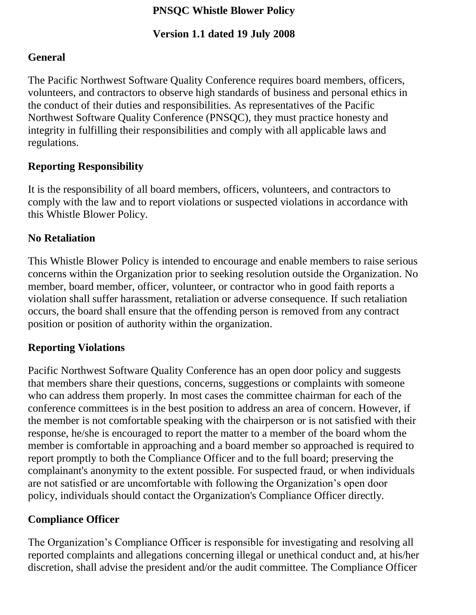#### **PNSQC Whistle Blower Policy**

#### **Version 1.1 dated 19 July 2008**

### **General**

The Pacific Northwest Software Quality Conference requires board members, officers, volunteers, and contractors to observe high standards of business and personal ethics in the conduct of their duties and responsibilities. As representatives of the Pacific Northwest Software Quality Conference (PNSQC), they must practice honesty and integrity in fulfilling their responsibilities and comply with all applicable laws and regulations.

# **Reporting Responsibility**

It is the responsibility of all board members, officers, volunteers, and contractors to comply with the law and to report violations or suspected violations in accordance with this Whistle Blower Policy.

# **No Retaliation**

This Whistle Blower Policy is intended to encourage and enable members to raise serious concerns within the Organization prior to seeking resolution outside the Organization. No member, board member, officer, volunteer, or contractor who in good faith reports a violation shall suffer harassment, retaliation or adverse consequence. If such retaliation occurs, the board shall ensure that the offending person is removed from any contract position or position of authority within the organization.

#### **Reporting Violations**

Pacific Northwest Software Quality Conference has an open door policy and suggests that members share their questions, concerns, suggestions or complaints with someone who can address them properly. In most cases the committee chairman for each of the conference committees is in the best position to address an area of concern. However, if the member is not comfortable speaking with the chairperson or is not satisfied with their response, he/she is encouraged to report the matter to a member of the board whom the member is comfortable in approaching and a board member so approached is required to report promptly to both the Compliance Officer and to the full board; preserving the complainant's anonymity to the extent possible. For suspected fraud, or when individuals are not satisfied or are uncomfortable with following the Organization's open door policy, individuals should contact the Organization's Compliance Officer directly.

# **Compliance Officer**

The Organization's Compliance Officer is responsible for investigating and resolving all reported complaints and allegations concerning illegal or unethical conduct and, at his/her discretion, shall advise the president and/or the audit committee. The Compliance Officer